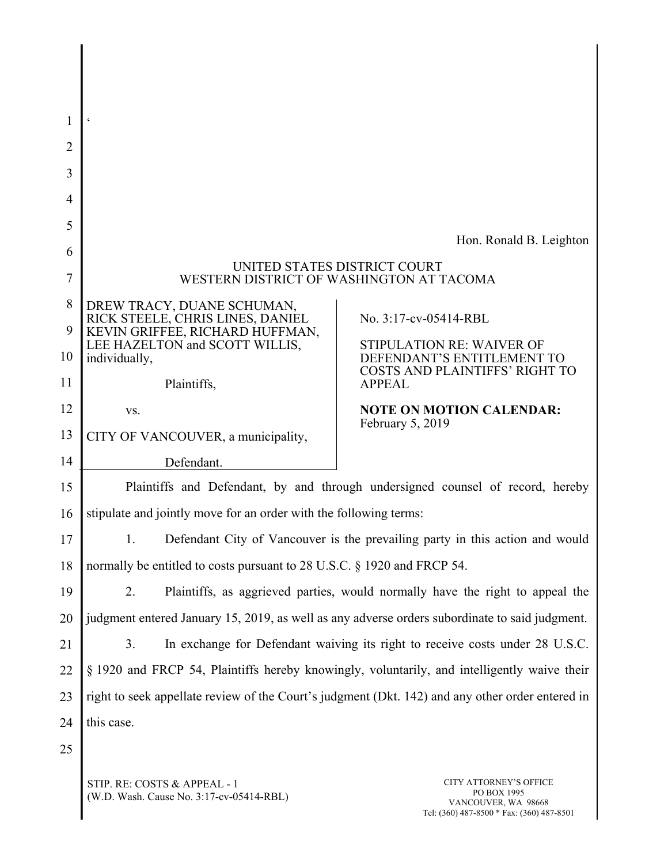| 1              | $\boldsymbol{\varsigma}$                                                                         |                                                                     |  |
|----------------|--------------------------------------------------------------------------------------------------|---------------------------------------------------------------------|--|
| $\overline{2}$ |                                                                                                  |                                                                     |  |
| 3              |                                                                                                  |                                                                     |  |
| 4              |                                                                                                  |                                                                     |  |
| 5              |                                                                                                  |                                                                     |  |
| 6              |                                                                                                  | Hon. Ronald B. Leighton                                             |  |
| $\overline{7}$ | UNITED STATES DISTRICT COURT<br>WESTERN DISTRICT OF WASHINGTON AT TACOMA                         |                                                                     |  |
| 8              | DREW TRACY, DUANE SCHUMAN,<br>RICK STEELE, CHRIS LINES, DANIEL                                   | No. 3:17-cv-05414-RBL                                               |  |
| 9              | KEVIN GRIFFEE, RICHARD HUFFMAN,<br>LEE HAZELTON and SCOTT WILLIS,                                | STIPULATION RE: WAIVER OF                                           |  |
| 10             | individually,                                                                                    | DEFENDANT'S ENTITLEMENT TO<br><b>COSTS AND PLAINTIFFS' RIGHT TO</b> |  |
| 11             | Plaintiffs,                                                                                      | <b>APPEAL</b>                                                       |  |
| 12             | VS.                                                                                              | <b>NOTE ON MOTION CALENDAR:</b><br>February 5, 2019                 |  |
| 13             | CITY OF VANCOUVER, a municipality,                                                               |                                                                     |  |
| 14             | Defendant.                                                                                       |                                                                     |  |
| 15             | Plaintiffs and Defendant, by and through undersigned counsel of record, hereby                   |                                                                     |  |
| 16             | stipulate and jointly move for an order with the following terms:                                |                                                                     |  |
| 17             | Defendant City of Vancouver is the prevailing party in this action and would<br>1.               |                                                                     |  |
| 18             | normally be entitled to costs pursuant to 28 U.S.C. § 1920 and FRCP 54.                          |                                                                     |  |
| 19             | Plaintiffs, as aggrieved parties, would normally have the right to appeal the<br>2.              |                                                                     |  |
| 20             | judgment entered January 15, 2019, as well as any adverse orders subordinate to said judgment.   |                                                                     |  |
| 21             | In exchange for Defendant waiving its right to receive costs under 28 U.S.C.<br>3.               |                                                                     |  |
| 22             | § 1920 and FRCP 54, Plaintiffs hereby knowingly, voluntarily, and intelligently waive their      |                                                                     |  |
| 23             | right to seek appellate review of the Court's judgment (Dkt. 142) and any other order entered in |                                                                     |  |
| 24             | this case.                                                                                       |                                                                     |  |
| 25             |                                                                                                  |                                                                     |  |

STIP. RE: COSTS & APPEAL - 1 (W.D. Wash. Cause No. 3:17-cv-05414-RBL)

 $\Big\|$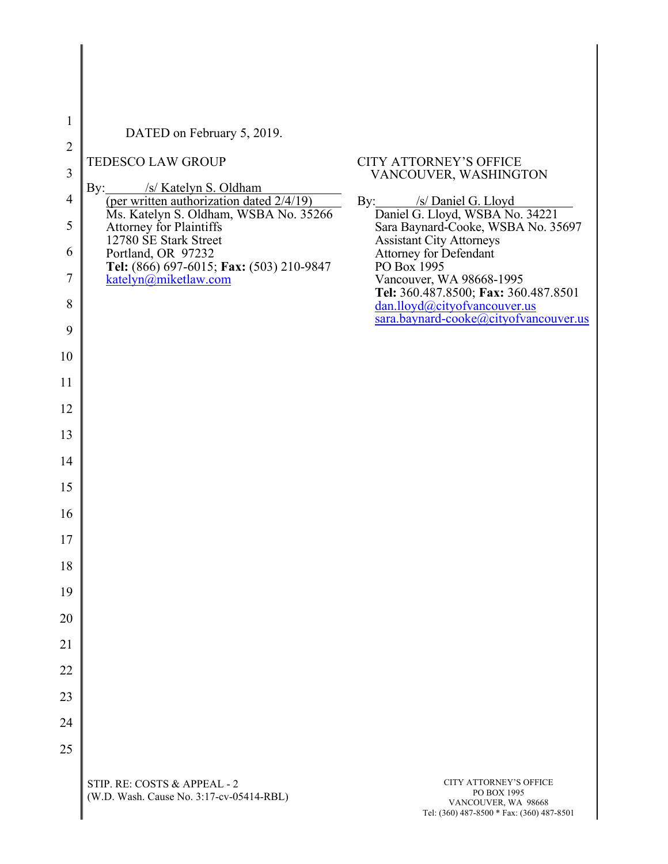| 1              | DATED on February 5, 2019.                                                                |                                                                                                          |
|----------------|-------------------------------------------------------------------------------------------|----------------------------------------------------------------------------------------------------------|
| $\overline{2}$ |                                                                                           |                                                                                                          |
| 3              | <b>TEDESCO LAW GROUP</b>                                                                  | <b>CITY ATTORNEY'S OFFICE</b><br>VANCOUVER, WASHINGTON                                                   |
| $\overline{4}$ | By:<br>/s/ Katelyn S. Oldham<br>(per written authorization dated 2/4/19)                  | By: /s/ Daniel G. Lloyd                                                                                  |
| 5              | Ms. Katelyn S. Oldham, WSBA No. 35266<br>Attorney for Plaintiffs<br>12780 SE Stark Street | Daniel G. Lloyd, WSBA No. 34221<br>Sara Baynard-Cooke, WSBA No. 35697<br><b>Assistant City Attorneys</b> |
| 6              | Portland, OR 97232<br>Tel: (866) 697-6015; Fax: (503) 210-9847                            | Attorney for Defendant<br>PO Box 1995                                                                    |
| 7              | katelyn@miketlaw.com                                                                      | Vancouver, WA 98668-1995<br>Tel: 360.487.8500; Fax: 360.487.8501                                         |
| 8              |                                                                                           | dan.lloyd@cityofvancouver.us<br>sara.baynard-cooke@cityofvancouver.us                                    |
| 9              |                                                                                           |                                                                                                          |
| 10             |                                                                                           |                                                                                                          |
| 11             |                                                                                           |                                                                                                          |
| 12             |                                                                                           |                                                                                                          |
| 13             |                                                                                           |                                                                                                          |
| 14             |                                                                                           |                                                                                                          |
| 15             |                                                                                           |                                                                                                          |
| 16             |                                                                                           |                                                                                                          |
| 17             |                                                                                           |                                                                                                          |
| 18             |                                                                                           |                                                                                                          |
| 19             |                                                                                           |                                                                                                          |
| 20             |                                                                                           |                                                                                                          |
| 21             |                                                                                           |                                                                                                          |
| 22             |                                                                                           |                                                                                                          |
| 23             |                                                                                           |                                                                                                          |
| 24             |                                                                                           |                                                                                                          |
| 25             |                                                                                           |                                                                                                          |
|                |                                                                                           |                                                                                                          |

STIP. RE: COSTS & APPEAL - 2 (W.D. Wash. Cause No. 3:17-cv-05414-RBL)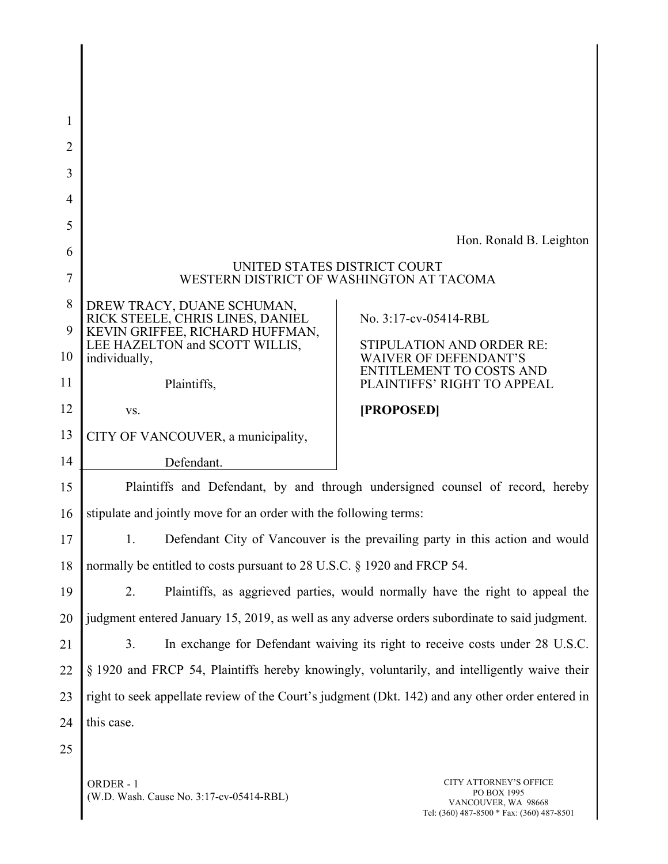| 1              |                                                                                                                                                     |                                                                                                |  |
|----------------|-----------------------------------------------------------------------------------------------------------------------------------------------------|------------------------------------------------------------------------------------------------|--|
| $\overline{2}$ |                                                                                                                                                     |                                                                                                |  |
| 3              |                                                                                                                                                     |                                                                                                |  |
| 4              |                                                                                                                                                     |                                                                                                |  |
| 5              |                                                                                                                                                     |                                                                                                |  |
| 6              |                                                                                                                                                     | Hon. Ronald B. Leighton                                                                        |  |
| 7              | UNITED STATES DISTRICT COURT<br>WESTERN DISTRICT OF WASHINGTON AT TACOMA                                                                            |                                                                                                |  |
| 8              | DREW TRACY, DUANE SCHUMAN,<br>RICK STEELE, CHRIS LINES, DANIEL                                                                                      | No. 3:17-cv-05414-RBL                                                                          |  |
| 9              | KEVIN GRIFFEE, RICHARD HUFFMAN,<br>LEE HAZELTON and SCOTT WILLIS,                                                                                   | <b>STIPULATION AND ORDER RE:</b>                                                               |  |
| 10<br>11       | individually,<br>Plaintiffs,                                                                                                                        | <b>WAIVER OF DEFENDANT'S</b><br><b>ENTITLEMENT TO COSTS AND</b><br>PLAINTIFFS' RIGHT TO APPEAL |  |
| 12             |                                                                                                                                                     | [PROPOSED]                                                                                     |  |
| 13             | VS.                                                                                                                                                 |                                                                                                |  |
| 14             | CITY OF VANCOUVER, a municipality,                                                                                                                  |                                                                                                |  |
| 15             | Defendant.                                                                                                                                          |                                                                                                |  |
| 16             | Plaintiffs and Defendant, by and through undersigned counsel of record, hereby<br>stipulate and jointly move for an order with the following terms: |                                                                                                |  |
| 17             | 1.                                                                                                                                                  |                                                                                                |  |
| 18             | Defendant City of Vancouver is the prevailing party in this action and would                                                                        |                                                                                                |  |
| 19             | normally be entitled to costs pursuant to 28 U.S.C. § 1920 and FRCP 54.                                                                             |                                                                                                |  |
| 20             | 2.<br>Plaintiffs, as aggrieved parties, would normally have the right to appeal the                                                                 |                                                                                                |  |
|                | judgment entered January 15, 2019, as well as any adverse orders subordinate to said judgment.                                                      |                                                                                                |  |
| 21             | In exchange for Defendant waiving its right to receive costs under 28 U.S.C.<br>3.                                                                  |                                                                                                |  |
| 22             | § 1920 and FRCP 54, Plaintiffs hereby knowingly, voluntarily, and intelligently waive their                                                         |                                                                                                |  |
| 23             | right to seek appellate review of the Court's judgment (Dkt. 142) and any other order entered in                                                    |                                                                                                |  |
| 24             | this case.                                                                                                                                          |                                                                                                |  |
| 25             |                                                                                                                                                     |                                                                                                |  |

ORDER - 1 (W.D. Wash. Cause No. 3:17-cv-05414-RBL)